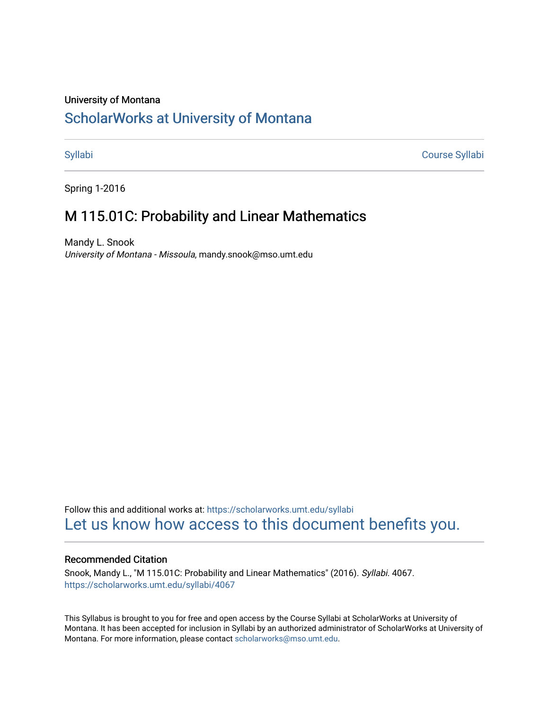# University of Montana

# [ScholarWorks at University of Montana](https://scholarworks.umt.edu/)

[Syllabi](https://scholarworks.umt.edu/syllabi) [Course Syllabi](https://scholarworks.umt.edu/course_syllabi) 

Spring 1-2016

# M 115.01C: Probability and Linear Mathematics

Mandy L. Snook University of Montana - Missoula, mandy.snook@mso.umt.edu

Follow this and additional works at: [https://scholarworks.umt.edu/syllabi](https://scholarworks.umt.edu/syllabi?utm_source=scholarworks.umt.edu%2Fsyllabi%2F4067&utm_medium=PDF&utm_campaign=PDFCoverPages)  [Let us know how access to this document benefits you.](https://goo.gl/forms/s2rGfXOLzz71qgsB2) 

## Recommended Citation

Snook, Mandy L., "M 115.01C: Probability and Linear Mathematics" (2016). Syllabi. 4067. [https://scholarworks.umt.edu/syllabi/4067](https://scholarworks.umt.edu/syllabi/4067?utm_source=scholarworks.umt.edu%2Fsyllabi%2F4067&utm_medium=PDF&utm_campaign=PDFCoverPages)

This Syllabus is brought to you for free and open access by the Course Syllabi at ScholarWorks at University of Montana. It has been accepted for inclusion in Syllabi by an authorized administrator of ScholarWorks at University of Montana. For more information, please contact [scholarworks@mso.umt.edu.](mailto:scholarworks@mso.umt.edu)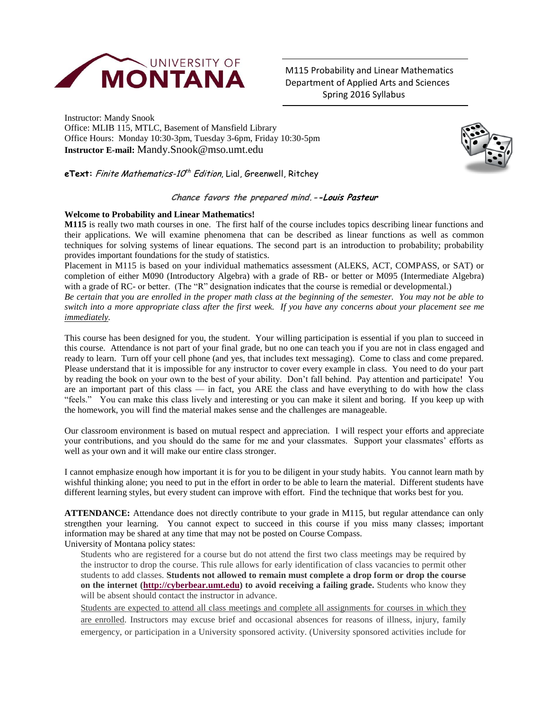

M115 Probability and Linear Mathematics Department of Applied Arts and Sciences Spring 2016 Syllabus

Instructor: Mandy Snook Office: MLIB 115, MTLC, Basement of Mansfield Library Office Hours: Monday 10:30-3pm, Tuesday 3-6pm, Friday 10:30-5pm **Instructor E-mail:** Mandy.Snook@mso.umt.edu



**eText:** *Finite Mathematics-10<sup>th</sup> Edition*, Lial, Greenwell, Ritchey

# **Chance favors the prepared mind.--Louis Pasteur**

### **Welcome to Probability and Linear Mathematics!**

**M115** is really two math courses in one. The first half of the course includes topics describing linear functions and their applications. We will examine phenomena that can be described as linear functions as well as common techniques for solving systems of linear equations. The second part is an introduction to probability; probability provides important foundations for the study of statistics.

Placement in M115 is based on your individual mathematics assessment (ALEKS, ACT, COMPASS, or SAT) or completion of either M090 (Introductory Algebra) with a grade of RB- or better or M095 (Intermediate Algebra) with a grade of RC- or better. (The "R" designation indicates that the course is remedial or developmental.)

*Be certain that you are enrolled in the proper math class at the beginning of the semester. You may not be able to switch into a more appropriate class after the first week. If you have any concerns about your placement see me immediately.*

This course has been designed for you, the student. Your willing participation is essential if you plan to succeed in this course. Attendance is not part of your final grade, but no one can teach you if you are not in class engaged and ready to learn. Turn off your cell phone (and yes, that includes text messaging). Come to class and come prepared. Please understand that it is impossible for any instructor to cover every example in class. You need to do your part by reading the book on your own to the best of your ability. Don't fall behind. Pay attention and participate! You are an important part of this class — in fact, you ARE the class and have everything to do with how the class "feels." You can make this class lively and interesting or you can make it silent and boring. If you keep up with the homework, you will find the material makes sense and the challenges are manageable.

Our classroom environment is based on mutual respect and appreciation. I will respect your efforts and appreciate your contributions, and you should do the same for me and your classmates. Support your classmates' efforts as well as your own and it will make our entire class stronger.

I cannot emphasize enough how important it is for you to be diligent in your study habits. You cannot learn math by wishful thinking alone; you need to put in the effort in order to be able to learn the material. Different students have different learning styles, but every student can improve with effort. Find the technique that works best for you.

**ATTENDANCE:** Attendance does not directly contribute to your grade in M115, but regular attendance can only strengthen your learning. You cannot expect to succeed in this course if you miss many classes; important information may be shared at any time that may not be posted on Course Compass. University of Montana policy states:

Students who are registered for a course but do not attend the first two class meetings may be required by the instructor to drop the course. This rule allows for early identification of class vacancies to permit other students to add classes. **Students not allowed to remain must complete a drop form or drop the course on the internet [\(http://cyberbear.umt.edu\)](http://cyberbear.umt.edu/) to avoid receiving a failing grade.** Students who know they will be absent should contact the instructor in advance.

Students are expected to attend all class meetings and complete all assignments for courses in which they are enrolled. Instructors may excuse brief and occasional absences for reasons of illness, injury, family emergency, or participation in a University sponsored activity. (University sponsored activities include for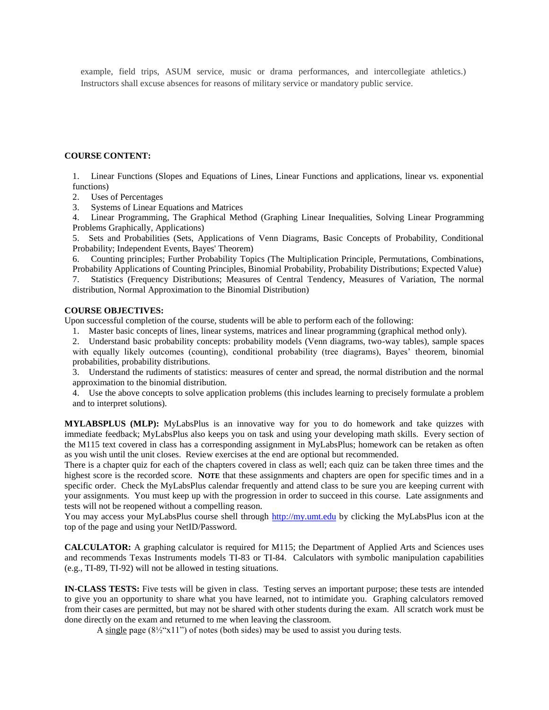example, field trips, ASUM service, music or drama performances, and intercollegiate athletics.) Instructors shall excuse absences for reasons of military service or mandatory public service.

#### **COURSE CONTENT:**

1. Linear Functions (Slopes and Equations of Lines, Linear Functions and applications, linear vs. exponential functions)

- 2. Uses of Percentages
- 3. Systems of Linear Equations and Matrices

4. Linear Programming, The Graphical Method (Graphing Linear Inequalities, Solving Linear Programming Problems Graphically, Applications)

5. Sets and Probabilities (Sets, Applications of Venn Diagrams, Basic Concepts of Probability, Conditional Probability; Independent Events, Bayes' Theorem)

6. Counting principles; Further Probability Topics (The Multiplication Principle, Permutations, Combinations, Probability Applications of Counting Principles, Binomial Probability, Probability Distributions; Expected Value)

7. Statistics (Frequency Distributions; Measures of Central Tendency, Measures of Variation, The normal distribution, Normal Approximation to the Binomial Distribution)

## **COURSE OBJECTIVES:**

Upon successful completion of the course, students will be able to perform each of the following:

- 1. Master basic concepts of lines, linear systems, matrices and linear programming (graphical method only).
- 2. Understand basic probability concepts: probability models (Venn diagrams, two-way tables), sample spaces with equally likely outcomes (counting), conditional probability (tree diagrams), Bayes' theorem, binomial probabilities, probability distributions.

3. Understand the rudiments of statistics: measures of center and spread, the normal distribution and the normal approximation to the binomial distribution.

4. Use the above concepts to solve application problems (this includes learning to precisely formulate a problem and to interpret solutions).

**MYLABSPLUS (MLP):** MyLabsPlus is an innovative way for you to do homework and take quizzes with immediate feedback; MyLabsPlus also keeps you on task and using your developing math skills. Every section of the M115 text covered in class has a corresponding assignment in MyLabsPlus; homework can be retaken as often as you wish until the unit closes. Review exercises at the end are optional but recommended.

There is a chapter quiz for each of the chapters covered in class as well; each quiz can be taken three times and the highest score is the recorded score. **NOTE** that these assignments and chapters are open for specific times and in a specific order. Check the MyLabsPlus calendar frequently and attend class to be sure you are keeping current with your assignments. You must keep up with the progression in order to succeed in this course. Late assignments and tests will not be reopened without a compelling reason.

You may access your MyLabsPlus course shell through [http://my.umt.edu](http://my.umt.edu/) by clicking the MyLabsPlus icon at the top of the page and using your NetID/Password.

**CALCULATOR:** A graphing calculator is required for M115; the Department of Applied Arts and Sciences uses and recommends Texas Instruments models TI-83 or TI-84. Calculators with symbolic manipulation capabilities (e.g., TI-89, TI-92) will not be allowed in testing situations.

**IN-CLASS TESTS:** Five tests will be given in class. Testing serves an important purpose; these tests are intended to give you an opportunity to share what you have learned, not to intimidate you. Graphing calculators removed from their cases are permitted, but may not be shared with other students during the exam. All scratch work must be done directly on the exam and returned to me when leaving the classroom.

A single page  $(8\frac{1}{2}x11)$  of notes (both sides) may be used to assist you during tests.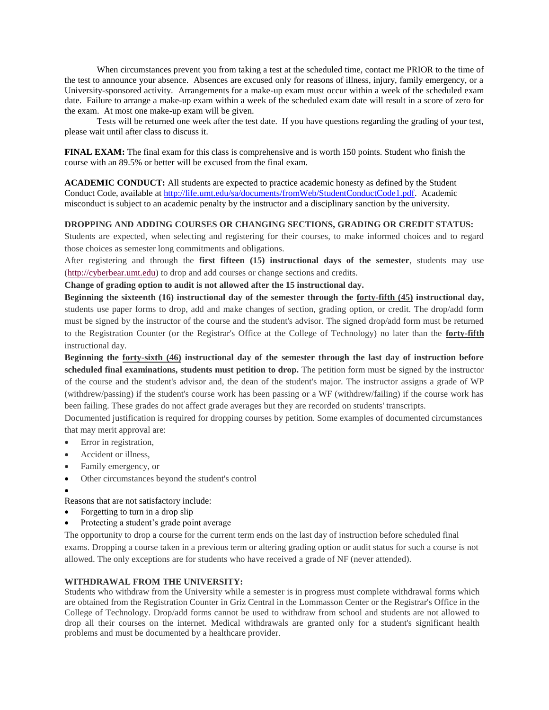When circumstances prevent you from taking a test at the scheduled time, contact me PRIOR to the time of the test to announce your absence. Absences are excused only for reasons of illness, injury, family emergency, or a University-sponsored activity. Arrangements for a make-up exam must occur within a week of the scheduled exam date. Failure to arrange a make-up exam within a week of the scheduled exam date will result in a score of zero for the exam. At most one make-up exam will be given.

 Tests will be returned one week after the test date. If you have questions regarding the grading of your test, please wait until after class to discuss it.

**FINAL EXAM:** The final exam for this class is comprehensive and is worth 150 points. Student who finish the course with an 89.5% or better will be excused from the final exam.

**ACADEMIC CONDUCT:** All students are expected to practice academic honesty as defined by the Student Conduct Code, available at [http://life.umt.edu/sa/documents/fromWeb/StudentConductCode1.pdf.](http://life.umt.edu/sa/documents/fromWeb/StudentConductCode1.pdf) Academic misconduct is subject to an academic penalty by the instructor and a disciplinary sanction by the university.

## **DROPPING AND ADDING COURSES OR CHANGING SECTIONS, GRADING OR CREDIT STATUS:**

Students are expected, when selecting and registering for their courses, to make informed choices and to regard those choices as semester long commitments and obligations.

After registering and through the **first fifteen (15) instructional days of the semester**, students may use [\(http://cyberbear.umt.edu\)](http://cyberbear.umt.edu/) to drop and add courses or change sections and credits.

**Change of grading option to audit is not allowed after the 15 instructional day.** 

**Beginning the sixteenth (16) instructional day of the semester through the forty-fifth (45) instructional day,** students use paper forms to drop, add and make changes of section, grading option, or credit. The drop/add form must be signed by the instructor of the course and the student's advisor. The signed drop/add form must be returned to the Registration Counter (or the Registrar's Office at the College of Technology) no later than the **forty-fifth** instructional day.

**Beginning the forty-sixth (46) instructional day of the semester through the last day of instruction before scheduled final examinations, students must petition to drop.** The petition form must be signed by the instructor of the course and the student's advisor and, the dean of the student's major. The instructor assigns a grade of WP (withdrew/passing) if the student's course work has been passing or a WF (withdrew/failing) if the course work has been failing. These grades do not affect grade averages but they are recorded on students' transcripts.

Documented justification is required for dropping courses by petition. Some examples of documented circumstances that may merit approval are:

- Error in registration,
- Accident or illness,
- Family emergency, or
- Other circumstances beyond the student's control
- $\bullet$

Reasons that are not satisfactory include:

- Forgetting to turn in a drop slip
- Protecting a student's grade point average

The opportunity to drop a course for the current term ends on the last day of instruction before scheduled final exams. Dropping a course taken in a previous term or altering grading option or audit status for such a course is not allowed. The only exceptions are for students who have received a grade of NF (never attended).

## **WITHDRAWAL FROM THE UNIVERSITY:**

Students who withdraw from the University while a semester is in progress must complete withdrawal forms which are obtained from the Registration Counter in Griz Central in the Lommasson Center or the Registrar's Office in the College of Technology. Drop/add forms cannot be used to withdraw from school and students are not allowed to drop all their courses on the internet. Medical withdrawals are granted only for a student's significant health problems and must be documented by a healthcare provider.